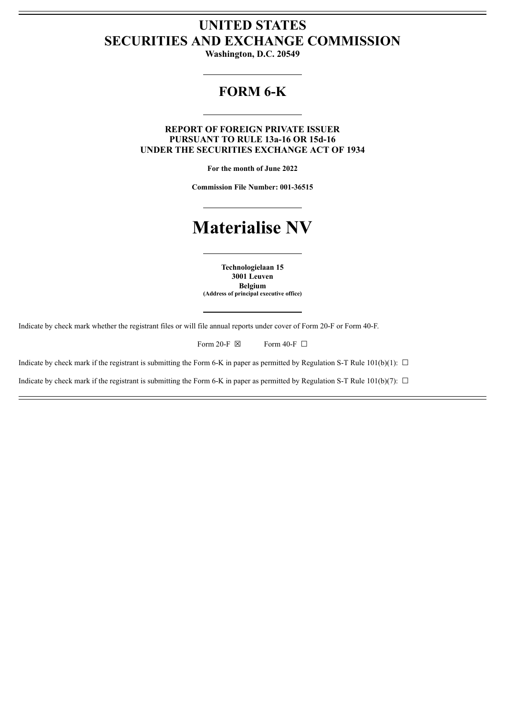# **UNITED STATES SECURITIES AND EXCHANGE COMMISSION**

**Washington, D.C. 20549**

## **FORM 6-K**

#### **REPORT OF FOREIGN PRIVATE ISSUER PURSUANT TO RULE 13a-16 OR 15d-16 UNDER THE SECURITIES EXCHANGE ACT OF 1934**

**For the month of June 2022**

**Commission File Number: 001-36515**

# **Materialise NV**

**Technologielaan 15 3001 Leuven Belgium (Address of principal executive office)**

Indicate by check mark whether the registrant files or will file annual reports under cover of Form 20-F or Form 40-F.

Form 20-F  $\boxtimes$  Form 40-F  $\Box$ 

Indicate by check mark if the registrant is submitting the Form 6-K in paper as permitted by Regulation S-T Rule 101(b)(1):  $\Box$ 

Indicate by check mark if the registrant is submitting the Form 6-K in paper as permitted by Regulation S-T Rule 101(b)(7):  $\Box$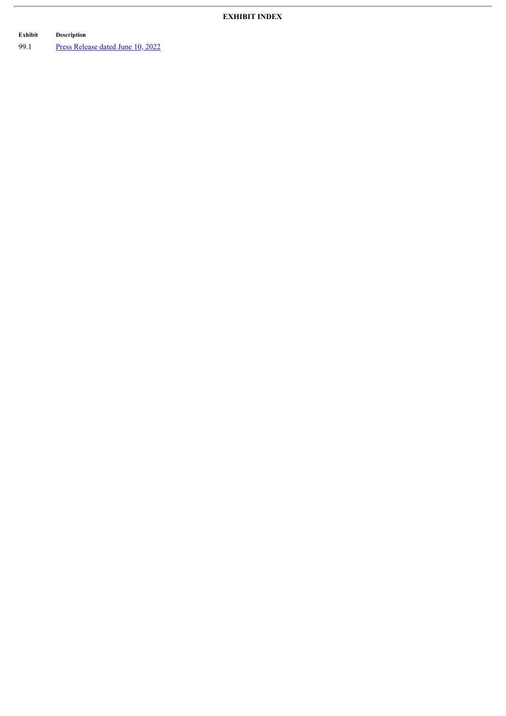## **EXHIBIT INDEX**

**Exhibit Description**

 $\overline{r}$ 

99.1 Press [Release](#page-3-0) dated June 10, 2022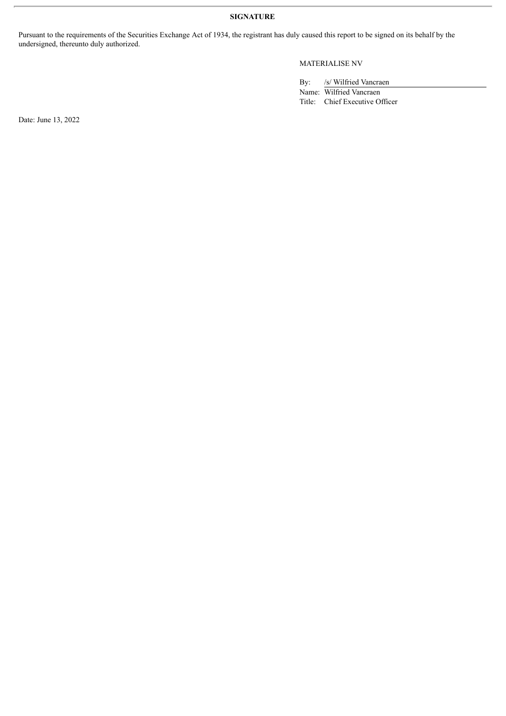**SIGNATURE**

Pursuant to the requirements of the Securities Exchange Act of 1934, the registrant has duly caused this report to be signed on its behalf by the undersigned, thereunto duly authorized.

### MATERIALISE NV

By: /s/ Wilfried Vancraen

Name: Wilfried Vancraen Title: Chief Executive Officer

Date: June 13, 2022